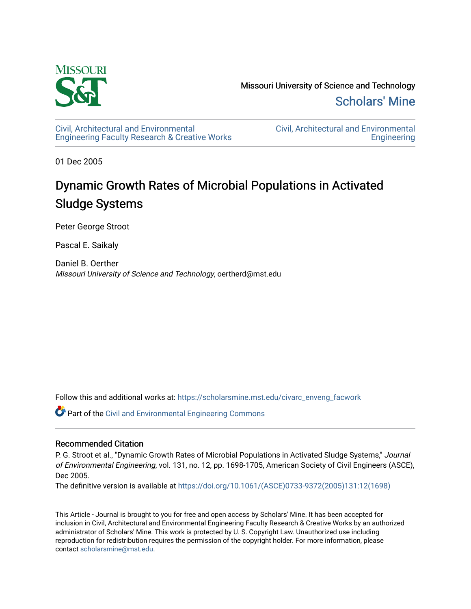

Missouri University of Science and Technology [Scholars' Mine](https://scholarsmine.mst.edu/) 

[Civil, Architectural and Environmental](https://scholarsmine.mst.edu/civarc_enveng_facwork) [Engineering Faculty Research & Creative Works](https://scholarsmine.mst.edu/civarc_enveng_facwork) [Civil, Architectural and Environmental](https://scholarsmine.mst.edu/civarc_enveng)  **Engineering** 

01 Dec 2005

# Dynamic Growth Rates of Microbial Populations in Activated Sludge Systems

Peter George Stroot

Pascal E. Saikaly

Daniel B. Oerther Missouri University of Science and Technology, oertherd@mst.edu

Follow this and additional works at: [https://scholarsmine.mst.edu/civarc\\_enveng\\_facwork](https://scholarsmine.mst.edu/civarc_enveng_facwork?utm_source=scholarsmine.mst.edu%2Fcivarc_enveng_facwork%2F484&utm_medium=PDF&utm_campaign=PDFCoverPages) 

 $\bullet$  Part of the [Civil and Environmental Engineering Commons](http://network.bepress.com/hgg/discipline/251?utm_source=scholarsmine.mst.edu%2Fcivarc_enveng_facwork%2F484&utm_medium=PDF&utm_campaign=PDFCoverPages)

### Recommended Citation

P. G. Stroot et al., "Dynamic Growth Rates of Microbial Populations in Activated Sludge Systems," Journal of Environmental Engineering, vol. 131, no. 12, pp. 1698-1705, American Society of Civil Engineers (ASCE), Dec 2005.

The definitive version is available at [https://doi.org/10.1061/\(ASCE\)0733-9372\(2005\)131:12\(1698\)](https://doi.org/10.1061/(ASCE)0733-9372(2005)131:12(1698)) 

This Article - Journal is brought to you for free and open access by Scholars' Mine. It has been accepted for inclusion in Civil, Architectural and Environmental Engineering Faculty Research & Creative Works by an authorized administrator of Scholars' Mine. This work is protected by U. S. Copyright Law. Unauthorized use including reproduction for redistribution requires the permission of the copyright holder. For more information, please contact [scholarsmine@mst.edu](mailto:scholarsmine@mst.edu).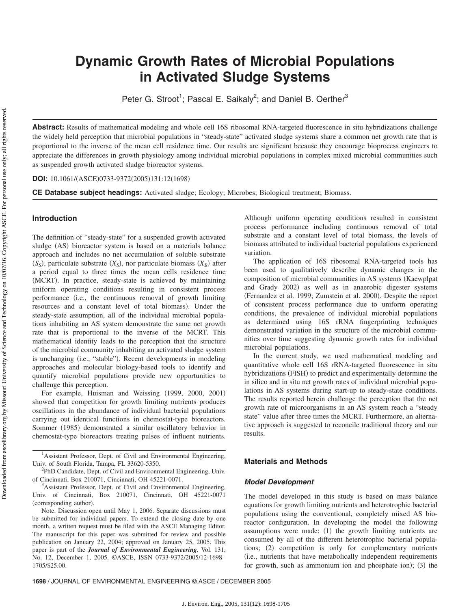## **Dynamic Growth Rates of Microbial Populations in Activated Sludge Systems**

Peter G. Stroot<sup>1</sup>; Pascal E. Saikaly<sup>2</sup>; and Daniel B. Oerther<sup>3</sup>

**Abstract:** Results of mathematical modeling and whole cell 16S ribosomal RNA-targeted fluorescence in situ hybridizations challenge the widely held perception that microbial populations in "steady-state" activated sludge systems share a common net growth rate that is proportional to the inverse of the mean cell residence time. Our results are significant because they encourage bioprocess engineers to appreciate the differences in growth physiology among individual microbial populations in complex mixed microbial communities such as suspended growth activated sludge bioreactor systems.

**DOI:** 10.1061/(ASCE)0733-9372(2005)131:12(1698)

**CE Database subject headings:** Activated sludge; Ecology; Microbes; Biological treatment; Biomass.

#### **Introduction**

The definition of "steady-state" for a suspended growth activated sludge (AS) bioreactor system is based on a materials balance approach and includes no net accumulation of soluble substrate  $(S<sub>S</sub>)$ , particulate substrate  $(X<sub>S</sub>)$ , nor particulate biomass  $(X<sub>B</sub>)$  after a period equal to three times the mean cells residence time (MCRT). In practice, steady-state is achieved by maintaining uniform operating conditions resulting in consistent process performance (i.e., the continuous removal of growth limiting resources and a constant level of total biomass). Under the steady-state assumption, all of the individual microbial populations inhabiting an AS system demonstrate the same net growth rate that is proportional to the inverse of the MCRT. This mathematical identity leads to the perception that the structure of the microbial community inhabiting an activated sludge system is unchanging (i.e., "stable"). Recent developments in modeling approaches and molecular biology-based tools to identify and quantify microbial populations provide new opportunities to challenge this perception.

For example, Huisman and Weissing (1999, 2000, 2001) showed that competition for growth limiting nutrients produces oscillations in the abundance of individual bacterial populations carrying out identical functions in chemostat-type bioreactors. Sommer (1985) demonstrated a similar oscillatory behavior in chemostat-type bioreactors treating pulses of influent nutrients.

Note. Discussion open until May 1, 2006. Separate discussions must be submitted for individual papers. To extend the closing date by one month, a written request must be filed with the ASCE Managing Editor. The manuscript for this paper was submitted for review and possible publication on January 22, 2004; approved on January 25, 2005. This paper is part of the *Journal of Environmental Engineering*, Vol. 131, No. 12, December 1, 2005. ©ASCE, ISSN 0733-9372/2005/12-1698– 1705/\$25.00.

Although uniform operating conditions resulted in consistent process performance including continuous removal of total substrate and a constant level of total biomass, the levels of biomass attributed to individual bacterial populations experienced variation.

The application of 16S ribosomal RNA-targeted tools has been used to qualitatively describe dynamic changes in the composition of microbial communities in AS systems (Kaewplpat and Grady 2002) as well as in anaerobic digester systems (Fernandez et al. 1999; Zumstein et al. 2000). Despite the report of consistent process performance due to uniform operating conditions, the prevalence of individual microbial populations as determined using 16S rRNA fingerprinting techniques demonstrated variation in the structure of the microbial communities over time suggesting dynamic growth rates for individual microbial populations.

In the current study, we used mathematical modeling and quantitative whole cell 16S rRNA-targeted fluorescence in situ hybridizations (FISH) to predict and experimentally determine the in silico and in situ net growth rates of individual microbial populations in AS systems during start-up to steady-state conditions. The results reported herein challenge the perception that the net growth rate of microorganisms in an AS system reach a "steady state" value after three times the MCRT. Furthermore, an alternative approach is suggested to reconcile traditional theory and our results.

#### **Materials and Methods**

#### *Model Development*

The model developed in this study is based on mass balance equations for growth limiting nutrients and heterotrophic bacterial populations using the conventional, completely mixed AS bioreactor configuration. In developing the model the following assumptions were made:  $(1)$  the growth limiting nutrients are consumed by all of the different heterotrophic bacterial populations; (2) competition is only for complementary nutrients i.e., nutrients that have metabolically independent requirements for growth, such as ammonium ion and phosphate ion); (3) the

**1698** / JOURNAL OF ENVIRONMENTAL ENGINEERING © ASCE / DECEMBER 2005

<sup>&</sup>lt;sup>1</sup>Assistant Professor, Dept. of Civil and Environmental Engineering, Univ. of South Florida, Tampa, FL 33620-5350. <sup>2</sup>

<sup>&</sup>lt;sup>2</sup>PhD Candidate, Dept. of Civil and Environmental Engineering, Univ. of Cincinnati, Box 210071, Cincinnati, OH 45221-0071. <sup>3</sup>

<sup>&</sup>lt;sup>3</sup>Assistant Professor, Dept. of Civil and Environmental Engineering, Univ. of Cincinnati, Box 210071, Cincinnati, OH 45221-0071 (corresponding author).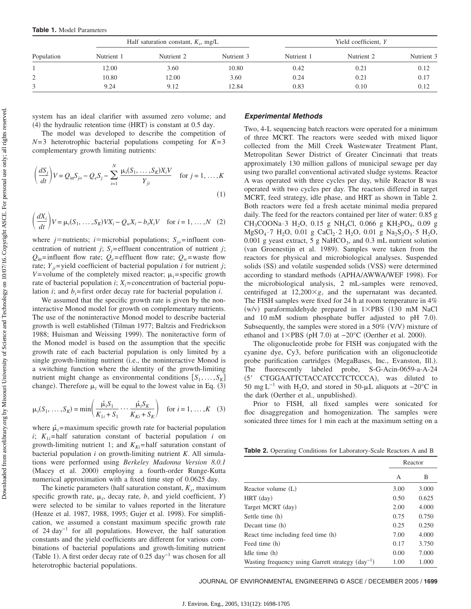| Population | Half saturation constant, $K_s$ , mg/L |            |            | Yield coefficient, Y |            |            |
|------------|----------------------------------------|------------|------------|----------------------|------------|------------|
|            | Nutrient 1                             | Nutrient 2 | Nutrient 3 | Nutrient 1           | Nutrient 2 | Nutrient 3 |
|            | 12.00                                  | 3.60       | 10.80      | 0.42                 | 0.21       | 0.12       |
| ∠          | 10.80                                  | 12.00      | 3.60       | 0.24                 | 0.21       | 0.17       |
|            | 9.24                                   | 9.12       | 12.84      | 0.83                 | 0.10       | 0.12       |

system has an ideal clarifier with assumed zero volume; and (4) the hydraulic retention time (HRT) is constant at 0.5 day.

The model was developed to describe the competition of  $N=3$  heterotrophic bacterial populations competing for  $K=3$ complementary growth limiting nutrients:

$$
\left(\frac{dS_j}{dt}\right)V = Q_{\text{in}}S_{j0} - Q_eS_j - \sum_{i=1}^{N} \frac{\mu_i(S_1, \dots, S_K)X_iV}{Y_{ji}} \quad \text{for } j = 1, \dots, K
$$
\n(1)

$$
\left(\frac{dX_i}{dt}\right)V = \mu_i(S_1, \dots, S_K)VX_i - Q_wX_i - b_iX_iV \quad \text{for } i = 1, \dots, N \quad (2)
$$

where  $j$ =nutrients;  $i$ =microbial populations;  $S_{j0}$ =influent concentration of nutrient *j*;  $S_j =$ effluent concentration of nutrient *j*;  $Q_{\text{in}}$ =influent flow rate;  $Q_e$ =effluent flow rate;  $Q_w$ =waste flow rate;  $Y_{ji}$ = yield coefficient of bacterial population *i* for nutrient *j*; *V*= volume of the completely mixed reactor;  $\mu_i$ = specific growth rate of bacterial population  $i$ ;  $X_i$ =concentration of bacterial population *i*; and  $b_i$ = first order decay rate for bacterial population *i*.

We assumed that the specific growth rate is given by the noninteractive Monod model for growth on complementary nutrients. The use of the noninteractive Monod model to describe bacterial growth is well established (Tilman 1977; Baltzis and Fredrickson 1988; Huisman and Weissing 1999). The noniteractive form of the Monod model is based on the assumption that the specific growth rate of each bacterial population is only limited by a single growth-limiting nutrient (i.e., the noninteractive Monod is a switching function where the identity of the growth-limiting nutrient might change as environmental conditions  $[S_1, \ldots, S_K]$ change). Therefore  $\mu_i$  will be equal to the lowest value in Eq. (3)

$$
\mu_i(S_1, \dots, S_K) = \min\left(\frac{\hat{\mu}_i S_1}{K_{1i} + S_1} \cdots \frac{\hat{\mu}_i S_K}{K_{Ki} + S_K}\right) \quad \text{for } i = 1, \dots, K \quad (3)
$$

where  $\hat{\mu}_i$ =maximum specific growth rate for bacterial population *i*;  $K_{1i}$ = half saturation constant of bacterial population *i* on growth-limiting nutrient 1; and  $K_{Ki}$ =half saturation constant of bacterial population *i* on growth-limiting nutrient *K*. All simulations were performed using *Berkeley Madonna Version 8.0.1* (Macey et al. 2000) employing a fourth-order Runge-Kutta numerical approximation with a fixed time step of 0.0625 day.

The kinetic parameters (half saturation constant,  $K_s$ , maximum specific growth rate,  $\mu_i$ , decay rate, *b*, and yield coefficient, *Y*) were selected to be similar to values reported in the literature (Henze et al. 1987, 1988, 1995; Gujer et al. 1998). For simplification, we assumed a constant maximum specific growth rate of 24 day−1 for all populations. However, the half saturation constants and the yield coefficients are different for various combinations of bacterial populations and growth-limiting nutrient (Table 1). A first order decay rate of 0.25 day<sup>-1</sup> was chosen for all heterotrophic bacterial populations.

#### *Experimental Methods*

Two, 4-L sequencing batch reactors were operated for a minimum of three MCRT. The reactors were seeded with mixed liquor collected from the Mill Creek Wastewater Treatment Plant, Metropolitan Sewer District of Greater Cincinnati that treats approximately 130 million gallons of municipal sewage per day using two parallel conventional activated sludge systems. Reactor A was operated with three cycles per day, while Reactor B was operated with two cycles per day. The reactors differed in target MCRT, feed strategy, idle phase, and HRT as shown in Table 2. Both reactors were fed a fresh acetate minimal media prepared daily. The feed for the reactors contained per liter of water: 0.85 g CH<sub>3</sub>COONa·3 H<sub>2</sub>O, 0.15 g NH<sub>4</sub>Cl, 0.066 g KH<sub>2</sub>PO<sub>4</sub>, 0.09 g  $MgSO_4$  · 7 H<sub>2</sub>O, 0.01 g CaCl<sub>2</sub> · 2 H<sub>2</sub>O, 0.01 g Na<sub>2</sub>S<sub>2</sub>O<sub>3</sub> · 5 H<sub>2</sub>O, 0.001 g yeast extract, 5 g NaHCO<sub>3</sub>, and 0.3 mL nutrient solution (van Groenestijn et al. 1989). Samples were taken from the reactors for physical and microbiological analyses. Suspended solids (SS) and volatile suspended solids (VSS) were determined according to standard methods (APHA/AWWA/WEF 1998). For the microbiological analysis, 2 mL-samples were removed, centrifuged at  $12,200 \times g$ , and the supernatant was decanted. The FISH samples were fixed for 24 h at room temperature in 4%  $(w/v)$  paraformaldehyde prepared in  $1 \times PBS$  (130 mM NaCl and 10 mM sodium phosphate buffer adjusted to pH 7.0). Subsequently, the samples were stored in a  $50\%$  (V/V) mixture of ethanol and  $1\times$ PBS (pH 7.0) at  $-20^{\circ}$ C (Oerther et al. 2000).

The oligonucleotide probe for FISH was conjugated with the cyanine dye, Cy3, before purification with an oligonucleotide probe purification cartridges (MegaBases, Inc., Evanston, Ill.). The fluorescently labeled probe, S-G-Acin-0659-a-A-24 (5' CTGGAATTCTACCATCCTCTCCCA), was diluted to 50 mg L<sup>-1</sup> with H<sub>2</sub>O, and stored in 50- $\mu$ L aliquots at −20°C in the dark (Oerther et al., unpublished).

Prior to FISH, all fixed samples were sonicated for floc disaggregation and homogenization. The samples were sonicated three times for 1 min each at the maximum setting on a

**Table 2.** Operating Conditions for Laboratory-Scale Reactors A and B

|                                                              | Reactor |       |
|--------------------------------------------------------------|---------|-------|
|                                                              | A       | В     |
| Reactor volume (L)                                           | 3.00    | 3.000 |
| $HRT$ (day)                                                  | 0.50    | 0.625 |
| Target MCRT (day)                                            | 2.00    | 4.000 |
| Settle time (h)                                              | 0.75    | 0.750 |
| Decant time (h)                                              | 0.25    | 0.250 |
| React time including feed time (h)                           | 7.00    | 4.000 |
| Feed time (h)                                                | 0.17    | 3.750 |
| Idle time (h)                                                | 0.00    | 7.000 |
| Wasting frequency using Garrett strategy $(\text{day}^{-1})$ | 1.00    | 1.000 |

JOURNAL OF ENVIRONMENTAL ENGINEERING © ASCE / DECEMBER 2005 / **1699**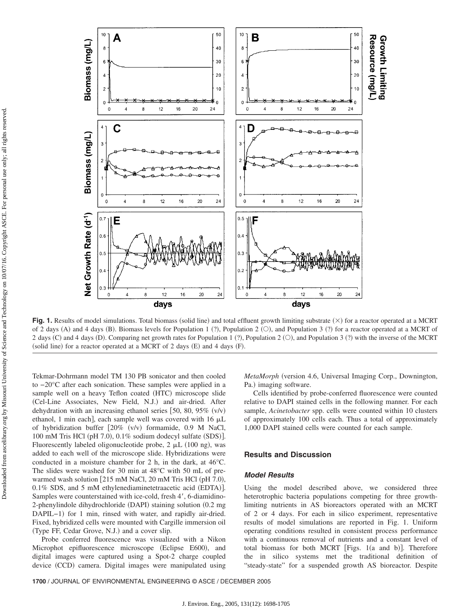

Fig. 1. Results of model simulations. Total biomass (solid line) and total effluent growth limiting substrate  $(\times)$  for a reactor operated at a MCRT of 2 days (A) and 4 days (B). Biomass levels for Population 1 (?), Population 2 (O), and Population 3 (?) for a reactor operated at a MCRT of 2 days (C) and 4 days (D). Comparing net growth rates for Population 1 (?), Population 2 (O), and Population 3 (?) with the inverse of the MCRT (solid line) for a reactor operated at a MCRT of 2 days  $(E)$  and 4 days  $(F)$ .

Tekmar-Dohrmann model TM 130 PB sonicator and then cooled to −20°C after each sonication. These samples were applied in a sample well on a heavy Teflon coated (HTC) microscope slide (Cel-Line Associates, New Field, N.J.) and air-dried. After dehydration with an increasing ethanol series  $[50, 80, 95\%$  (v/v) ethanol, 1 min each], each sample well was covered with 16  $\mu$ L of hybridization buffer [20% (v/v) formamide, 0.9 M NaCl, 100 mM Tris HCl (pH 7.0), 0.1% sodium dodecyl sulfate (SDS)]. Fluorescently labeled oligonucleotide probe,  $2 \mu L$  (100 ng), was added to each well of the microscope slide. Hybridizations were conducted in a moisture chamber for 2 h, in the dark, at 46°C. The slides were washed for 30 min at 48°C with 50 mL of prewarmed wash solution [215 mM NaCl, 20 mM Tris HCl (pH 7.0), 0.1% SDS, and 5 mM ethylenediaminetetraacetic acid (EDTA)]. Samples were counterstained with ice-cold, fresh 4', 6-diamidino-2-phenylindole dihydrochloride (DAPI) staining solution (0.2 mg DAPIL-1) for 1 min, rinsed with water, and rapidly air-dried. Fixed, hybridized cells were mounted with Cargille immersion oil (Type FF, Cedar Grove, N.J.) and a cover slip.

Probe conferred fluorescence was visualized with a Nikon Microphot epifluorescence microscope (Eclipse E600), and digital images were captured using a Spot-2 charge coupled device (CCD) camera. Digital images were manipulated using

*MetaMorph* (version 4.6, Universal Imaging Corp., Downington, Pa.) imaging software.

Cells identified by probe-conferred fluorescence were counted relative to DAPI stained cells in the following manner. For each sample, *Acinetobacter* spp. cells were counted within 10 clusters of approximately 100 cells each. Thus a total of approximately 1,000 DAPI stained cells were counted for each sample.

#### **Results and Discussion**

#### *Model Results*

Using the model described above, we considered three heterotrophic bacteria populations competing for three growthlimiting nutrients in AS bioreactors operated with an MCRT of 2 or 4 days. For each in silico experiment, representative results of model simulations are reported in Fig. 1. Uniform operating conditions resulted in consistent process performance with a continuous removal of nutrients and a constant level of total biomass for both MCRT [Figs. 1(a and b)]. Therefore the in silico systems met the traditional definition of "steady-state" for a suspended growth AS bioreactor. Despite

**1700** / JOURNAL OF ENVIRONMENTAL ENGINEERING © ASCE / DECEMBER 2005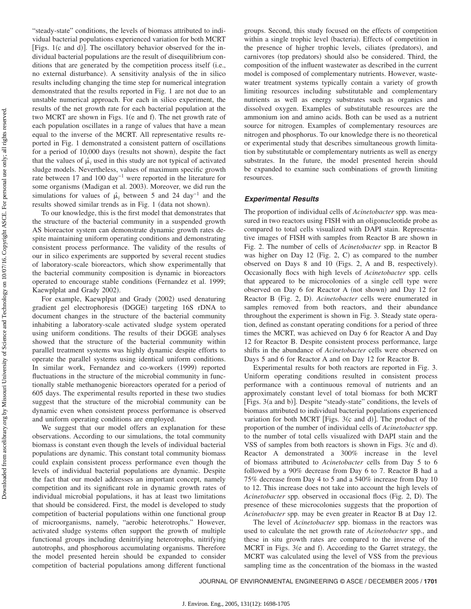"steady-state" conditions, the levels of biomass attributed to individual bacterial populations experienced variation for both MCRT [Figs. 1(c and d)]. The oscillatory behavior observed for the individual bacterial populations are the result of disequilibrium conditions that are generated by the competition process itself (i.e., no external disturbance). A sensitivity analysis of the in silico results including changing the time step for numerical integration demonstrated that the results reported in Fig. 1 are not due to an unstable numerical approach. For each in silico experiment, the results of the net growth rate for each bacterial population at the two MCRT are shown in Figs. 1(e and f). The net growth rate of each population oscillates in a range of values that have a mean equal to the inverse of the MCRT. All representative results reported in Fig. 1 demonstrated a consistent pattern of oscillations for a period of 10,000 days (results not shown), despite the fact that the values of  $\hat{\mu}_i$  used in this study are not typical of activated sludge models. Nevertheless, values of maximum specific growth rate between 17 and 100 day−1 were reported in the literature for some organisms (Madigan et al. 2003). Moreover, we did run the simulations for values of  $\hat{\mu}_i$  between 5 and 24 day<sup>-1</sup> and the results showed similar trends as in Fig. 1 (data not shown).

To our knowledge, this is the first model that demonstrates that the structure of the bacterial community in a suspended growth AS bioreactor system can demonstrate dynamic growth rates despite maintaining uniform operating conditions and demonstrating consistent process performance. The validity of the results of our in silico experiments are supported by several recent studies of laboratory-scale bioreactors, which show experimentally that the bacterial community composition is dynamic in bioreactors operated to encourage stable conditions (Fernandez et al. 1999; Kaewplplat and Grady 2002).

For example, Kaewplpat and Grady (2002) used denaturing gradient gel electrophoresis (DGGE) targeting 16S rDNA to document changes in the structure of the bacterial community inhabiting a laboratory-scale activated sludge system operated using uniform conditions. The results of their DGGE analyses showed that the structure of the bacterial community within parallel treatment systems was highly dynamic despite efforts to operate the parallel systems using identical uniform conditions. In similar work, Fernandez and co-workers (1999) reported fluctuations in the structure of the microbial community in functionally stable methanogenic bioreactors operated for a period of 605 days. The experimental results reported in these two studies suggest that the structure of the microbial community can be dynamic even when consistent process performance is observed and uniform operating conditions are employed.

We suggest that our model offers an explanation for these observations. According to our simulations, the total community biomass is constant even though the levels of individual bacterial populations are dynamic. This constant total community biomass could explain consistent process performance even though the levels of individual bacterial populations are dynamic. Despite the fact that our model addresses an important concept, namely competition and its significant role in dynamic growth rates of individual microbial populations, it has at least two limitations that should be considered. First, the model is developed to study competition of bacterial populations within one functional group of microorganisms, namely, "aerobic heterotrophs." However, activated sludge systems often support the growth of multiple functional groups including denitrifying heterotrophs, nitrifying autotrophs, and phosphorous accumulating organisms. Therefore the model presented herein should be expanded to consider competition of bacterial populations among different functional

groups. Second, this study focused on the effects of competition within a single trophic level (bacteria). Effects of competition in the presence of higher trophic levels, ciliates (predators), and carnivores (top predators) should also be considered. Third, the composition of the influent wastewater as described in the current model is composed of complementary nutrients. However, wastewater treatment systems typically contain a variety of growth limiting resources including substitutable and complementary nutrients as well as energy substrates such as organics and dissolved oxygen. Examples of substitutable resources are the ammonium ion and amino acids. Both can be used as a nutrient source for nitrogen. Examples of complementary resources are nitrogen and phosphorus. To our knowledge there is no theoretical or experimental study that describes simultaneous growth limitation by substitutable or complementary nutrients as well as energy substrates. In the future, the model presented herein should be expanded to examine such combinations of growth limiting resources.

#### *Experimental Results*

The proportion of individual cells of *Acinetobacter* spp. was measured in two reactors using FISH with an oligonucleotide probe as compared to total cells visualized with DAPI stain. Representative images of FISH with samples from Reactor B are shown in Fig. 2. The number of cells of *Acinetobacter* spp. in Reactor B was higher on Day 12 (Fig. 2, C) as compared to the number observed on Days 8 and 10 (Figs. 2, A and B, respectively). Occasionally flocs with high levels of *Acinetobacter* spp. cells that appeared to be microcolonies of a single cell type were observed on Day 6 for Reactor A (not shown) and Day 12 for Reactor B (Fig. 2, D). *Acinetobacter* cells were enumerated in samples removed from both reactors, and their abundance throughout the experiment is shown in Fig. 3. Steady state operation, defined as constant operating conditions for a period of three times the MCRT, was achieved on Day 6 for Reactor A and Day 12 for Reactor B. Despite consistent process performance, large shifts in the abundance of *Acinetobacter* cells were observed on Days 5 and 6 for Reactor A and on Day 12 for Reactor B.

Experimental results for both reactors are reported in Fig. 3. Uniform operating conditions resulted in consistent process performance with a continuous removal of nutrients and an approximately constant level of total biomass for both MCRT [Figs. 3(a and b)]. Despite "steady-state" conditions, the levels of biomass attributed to individual bacterial populations experienced variation for both MCRT [Figs.  $3(c \text{ and } d)$ ]. The product of the proportion of the number of individual cells of *Acinetobacter* spp. to the number of total cells visualized with DAPI stain and the VSS of samples from both reactors is shown in Figs. 3(c and d). Reactor A demonstrated a 300% increase in the level of biomass attributed to *Acinetobacter* cells from Day 5 to 6 followed by a 90% decrease from Day 6 to 7. Reactor B had a 75% decrease from Day 4 to 5 and a 540% increase from Day 10 to 12. This increase does not take into account the high levels of Acinetobacter spp. observed in occasional flocs (Fig. 2, D). The presence of these microcolonies suggests that the proportion of *Acinetobacter* spp. may be even greater in Reactor B at Day 12.

The level of *Acinetobacter* spp. biomass in the reactors was used to calculate the net growth rate of *Acinetobacter* spp., and these in situ growth rates are compared to the inverse of the MCRT in Figs. 3(e and f). According to the Garret strategy, the MCRT was calculated using the level of VSS from the previous sampling time as the concentration of the biomass in the wasted

JOURNAL OF ENVIRONMENTAL ENGINEERING © ASCE / DECEMBER 2005 / **1701**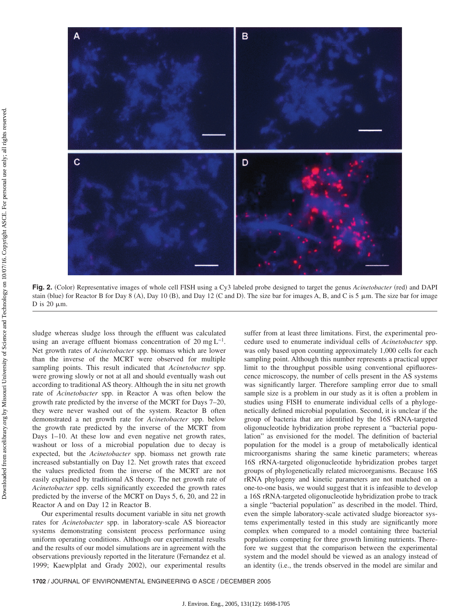

Fig. 2. (Color) Representative images of whole cell FISH using a Cy3 labeled probe designed to target the genus *Acinetobacter* (red) and DAPI stain (blue) for Reactor B for Day 8 (A), Day 10 (B), and Day 12 (C and D). The size bar for images A, B, and C is 5  $\mu$ m. The size bar for image D is  $20 \mu m$ .

sludge whereas sludge loss through the effluent was calculated using an average effluent biomass concentration of 20 mg  $L^{-1}$ . Net growth rates of *Acinetobacter* spp. biomass which are lower than the inverse of the MCRT were observed for multiple sampling points. This result indicated that *Acinetobacter* spp. were growing slowly or not at all and should eventually wash out according to traditional AS theory. Although the in situ net growth rate of *Acinetobacter* spp. in Reactor A was often below the growth rate predicted by the inverse of the MCRT for Days 7–20, they were never washed out of the system. Reactor B often demonstrated a net growth rate for *Acinetobacter* spp. below the growth rate predicted by the inverse of the MCRT from Days 1–10. At these low and even negative net growth rates, washout or loss of a microbial population due to decay is expected, but the *Acinetobacter* spp. biomass net growth rate increased substantially on Day 12. Net growth rates that exceed the values predicted from the inverse of the MCRT are not easily explained by traditional AS theory. The net growth rate of *Acinetobacter* spp. cells significantly exceeded the growth rates predicted by the inverse of the MCRT on Days 5, 6, 20, and 22 in Reactor A and on Day 12 in Reactor B.

Our experimental results document variable in situ net growth rates for *Acinetobacter* spp. in laboratory-scale AS bioreactor systems demonstrating consistent process performance using uniform operating conditions. Although our experimental results and the results of our model simulations are in agreement with the observations previously reported in the literature (Fernandez et al. 1999; Kaewplplat and Grady 2002), our experimental results

suffer from at least three limitations. First, the experimental procedure used to enumerate individual cells of *Acinetobacter* spp. was only based upon counting approximately 1,000 cells for each sampling point. Although this number represents a practical upper limit to the throughput possible using conventional epifluorescence microscopy, the number of cells present in the AS systems was significantly larger. Therefore sampling error due to small sample size is a problem in our study as it is often a problem in studies using FISH to enumerate individual cells of a phylogenetically defined microbial population. Second, it is unclear if the group of bacteria that are identified by the 16S rRNA-targeted oligonucleotide hybridization probe represent a "bacterial population" as envisioned for the model. The definition of bacterial population for the model is a group of metabolically identical microorganisms sharing the same kinetic parameters; whereas 16S rRNA-targeted oligonucleotide hybridization probes target groups of phylogenetically related microorganisms. Because 16S rRNA phylogeny and kinetic parameters are not matched on a one-to-one basis, we would suggest that it is infeasible to develop a 16S rRNA-targeted oligonucleotide hybridization probe to track a single "bacterial population" as described in the model. Third, even the simple laboratory-scale activated sludge bioreactor systems experimentally tested in this study are significantly more complex when compared to a model containing three bacterial populations competing for three growth limiting nutrients. Therefore we suggest that the comparison between the experimental system and the model should be viewed as an analogy instead of an identity i.e., the trends observed in the model are similar and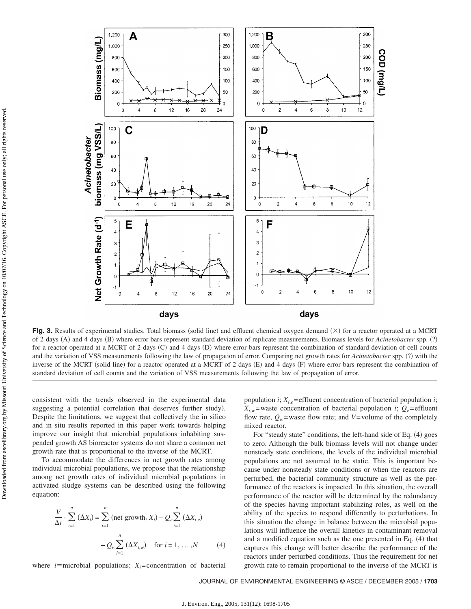

Fig. 3. Results of experimental studies. Total biomass (solid line) and effluent chemical oxygen demand  $(\times)$  for a reactor operated at a MCRT of 2 days (A) and 4 days (B) where error bars represent standard deviation of replicate measurements. Biomass levels for *Acinetobacter* spp. (?) for a reactor operated at a MCRT of 2 days (C) and 4 days (D) where error bars represent the combination of standard deviation of cell counts and the variation of VSS measurements following the law of propagation of error. Comparing net growth rates for *Acinetobacter* spp. (?) with the inverse of the MCRT (solid line) for a reactor operated at a MCRT of 2 days (E) and 4 days (F) where error bars represent the combination of standard deviation of cell counts and the variation of VSS measurements following the law of propagation of error.

consistent with the trends observed in the experimental data suggesting a potential correlation that deserves further study). Despite the limitations, we suggest that collectively the in silico and in situ results reported in this paper work towards helping improve our insight that microbial populations inhabiting suspended growth AS bioreactor systems do not share a common net growth rate that is proportional to the inverse of the MCRT.

To accommodate the differences in net growth rates among individual microbial populations, we propose that the relationship among net growth rates of individual microbial populations in activated sludge systems can be described using the following equation:

$$
\frac{V}{\Delta t} \cdot \sum_{i=1}^{n} (\Delta X_i) = \sum_{i=1}^{n} (\text{net growth}_i X_i) - Q_e \sum_{i=1}^{n} (\Delta X_{i,e})
$$

$$
-Q_w \sum_{i=1}^{n} (\Delta X_{i,w}) \quad \text{for } i = 1, ..., N \tag{4}
$$

where  $i$ =microbial populations;  $X_i$ =concentration of bacterial

population *i*;  $X_{i,e}$ =effluent concentration of bacterial population *i*;  $X_{i,w}$ =waste concentration of bacterial population *i*;  $Q_e$ =effluent flow rate,  $Q_w$ =waste flow rate; and *V*=volume of the completely mixed reactor.

For "steady state" conditions, the left-hand side of Eq. (4) goes to zero. Although the bulk biomass levels will not change under nonsteady state conditions, the levels of the individual microbial populations are not assumed to be static. This is important because under nonsteady state conditions or when the reactors are perturbed, the bacterial community structure as well as the performance of the reactors is impacted. In this situation, the overall performance of the reactor will be determined by the redundancy of the species having important stabilizing roles, as well on the ability of the species to respond differently to perturbations. In this situation the change in balance between the microbial populations will influence the overall kinetics in contaminant removal and a modified equation such as the one presented in Eq. (4) that captures this change will better describe the performance of the reactors under perturbed conditions. Thus the requirement for net growth rate to remain proportional to the inverse of the MCRT is

Downloaded from ascelibrary org by Missouri University of Science and Technology on 10/07/16. Copyright ASCE. For personal use only; all rights reserved Downloaded from ascelibrary.org by Missouri University of Science and Technology on 10/07/16. Copyright ASCE. For personal use only; all rights reserved.

JOURNAL OF ENVIRONMENTAL ENGINEERING © ASCE / DECEMBER 2005 / **1703**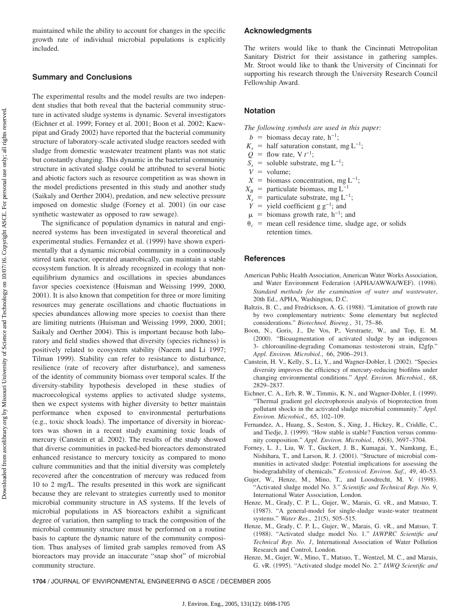maintained while the ability to account for changes in the specific growth rate of individual microbial populations is explicitly included.

#### **Summary and Conclusions**

The experimental results and the model results are two independent studies that both reveal that the bacterial community structure in activated sludge systems is dynamic. Several investigators Eichner et al. 1999; Forney et al. 2001; Boon et al. 2002; Kaewpipat and Grady 2002) have reported that the bacterial community structure of laboratory-scale activated sludge reactors seeded with sludge from domestic wastewater treatment plants was not static but constantly changing. This dynamic in the bacterial community structure in activated sludge could be attributed to several biotic and abiotic factors such as resource competition as was shown in the model predictions presented in this study and another study (Saikaly and Oerther 2004), predation, and new selective pressure imposed on domestic sludge (Forney et al. 2001) (in our case synthetic wastewater as opposed to raw sewage).

The significance of population dynamics in natural and engineered systems has been investigated in several theoretical and experimental studies. Fernandez et al. (1999) have shown experimentally that a dynamic microbial community in a continuously stirred tank reactor, operated anaerobically, can maintain a stable ecosystem function. It is already recognized in ecology that nonequilibrium dynamics and oscillations in species abundances favor species coexistence (Huisman and Weissing 1999, 2000, 2001). It is also known that competition for three or more limiting resources may generate oscillations and chaotic fluctuations in species abundances allowing more species to coexist than there are limiting nutrients (Huisman and Weissing 1999, 2000, 2001; Saikaly and Oerther 2004). This is important because both laboratory and field studies showed that diversity (species richness) is positively related to ecosystem stability Naeem and Li 1997; Tilman 1999). Stability can refer to resistance to disturbance, resilience (rate of recovery after disturbance), and sameness of the identity of community biomass over temporal scales. If the diversity-stability hypothesis developed in these studies of macroecological systems applies to activated sludge systems, then we expect systems with higher diversity to better maintain performance when exposed to environmental perturbations (e.g., toxic shock loads). The importance of diversity in bioreactors was shown in a recent study examining toxic loads of mercury (Canstein et al. 2002). The results of the study showed that diverse communities in packed-bed bioreactors demonstrated enhanced resistance to mercury toxicity as compared to mono culture communities and that the initial diversity was completely recovered after the concentration of mercury was reduced from 10 to 2 mg/L. The results presented in this work are significant because they are relevant to strategies currently used to monitor microbial community structure in AS systems. If the levels of microbial populations in AS bioreactors exhibit a significant degree of variation, then sampling to track the composition of the microbial community structure must be performed on a routine basis to capture the dynamic nature of the community composition. Thus analyses of limited grab samples removed from AS bioreactors may provide an inaccurate "snap shot" of microbial community structure.

#### **Acknowledgments**

The writers would like to thank the Cincinnati Metropolitan Sanitary District for their assistance in gathering samples. Mr. Stroot would like to thank the University of Cincinnati for supporting his research through the University Research Council Fellowship Award.

#### **Notation**

*The following symbols are used in this paper:*

- $b = \text{biomass decay rate}, h^{-1}$ ;
- $K_s$  = half saturation constant, mg L<sup>-1</sup>;
- $Q =$  flow rate, V  $t^{-1}$ ;
- $S_s$  = soluble substrate, mg L<sup>-1</sup>;
- $V =$  volume;
- $X = \text{biomass concentration}, \text{mg } L^{-1};$
- $X_B$  = particulate biomass, mg L<sup>-1</sup>
- $X_s$  = particulate substrate, mg L<sup>-1</sup>;
- $Y =$ yield coefficient  $g g^{-1}$ ; and
- $\mu$  = biomass growth rate, h<sup>-1</sup>; and
- $\theta_c$  = mean cell residence time, sludge age, or solids retention times.

#### **References**

- American Public Health Association, American Water Works Association, and Water Environment Federation (APHA/AWWA/WEF). (1998). *Standard methods for the examination of water and wastewater*, 20th Ed., APHA, Washington, D.C.
- Baltzis, B. C., and Fredrickson, A. G. (1988). "Limitation of growth rate by two complementary nutrients: Some elementary but neglected considerations." *Biotechnol. Bioeng.*, 31, 75–86.
- Boon, N., Goris, J., De Vos, P., Verstraete, W., and Top, E. M. (2000). "Bioaugmentation of activated sludge by an indigenous 3- chloroaniline-degrading Comamonas testosteroni strain, I2gfp." *Appl. Environ. Microbiol.*, 66, 2906–2913.
- Canstein, H. V., Kelly, S., Li, Y., and Wagner-Dobler, I. (2002). "Species diversity improves the efficiency of mercury-reducing biofilms under changing environmental conditions." *Appl. Environ. Microbiol.*, 68, 2829–2837.
- Eichner, C. A., Erb, R. W., Timmis, K. N., and Wagner-Dobler, I. (1999). "Thermal gradient gel electrophoresis analysis of bioprotection from pollutant shocks in the activated sludge microbial community." *Appl. Environ. Microbiol.*, 65, 102–109.
- Fernandez, A., Huang, S., Seston, S., Xing, J., Hickey, R., Criddle, C., and Tiedje, J. (1999). "How stable is stable? Function versus community composition." Appl. Environ. Microbiol., 65(8), 3697-3704.
- Forney, L. J., Liu, W. T., Guckert, J. B., Kumagai, Y., Namkung, E., Nishihara, T., and Larson, R. J. (2001). "Structure of microbial communities in activated sludge: Potential implications for assessing the biodegradability of chemicals." *Ecotoxicol. Environ. Saf.*, 49, 40–53.
- Gujer, W., Henze, M., Mino, T., and Loosdrecht, M. V. (1998). "Activated sludge model No. 3." *Scientific and Technical Rep. No. 9*, International Water Association, London.
- Henze, M., Grady, C. P. L., Gujer, W., Marais, G. vR., and Matsuo, T. (1987). "A general-model for single-sludge waste-water treatment systems." Water Res., 21(5), 505-515.
- Henze, M., Grady, C. P. L., Gujer, W., Marais, G. vR., and Matsuo, T. (1988). "Activated sludge model No. 1." *IAWPRC Scientific and Technical Rep. No. 1*, International Association of Water Pollution Research and Control, London.
- Henze, M., Gujer, W., Mino, T., Matsuo, T., Wentzel, M. C., and Marais, G. vR. (1995). "Activated sludge model No. 2." *IAWQ Scientific and*

**1704** / JOURNAL OF ENVIRONMENTAL ENGINEERING © ASCE / DECEMBER 2005